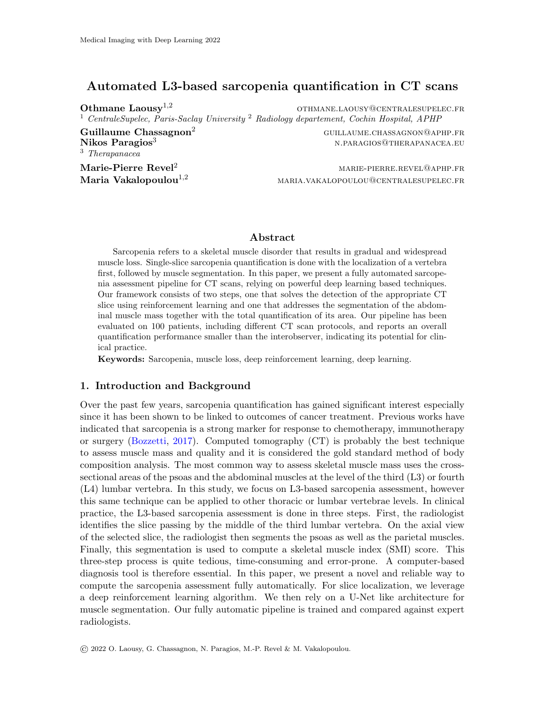# Automated L3-based sarcopenia quantification in CT scans

Othmane Laousy<sup>1,2</sup> othmane.laousy@centralesupelec.fr <sup>1</sup> CentraleSupelec, Paris-Saclay University <sup>2</sup> Radiology departement, Cochin Hospital, APHP

Nikos Paragios<sup>3</sup> n.paragios<sup>3</sup> n.paragios<sup>3</sup> n.paragios<sup>3</sup> n.paragios<sup>3</sup> n.paragios<sup>3</sup> <sup>3</sup> Therapanacea

 $Gu$ illaume Chassagnon<sup>2</sup> guillaume.chassagnon@aphp.fr

 $\mathbf{Marie\text{-}Pierre}\ \mathbf{Revel}^2$  marie-pierre.revel@aphp.fr **Maria Vakalopoulou**<sup>1,2</sup> maria.vakalopoulou@centralesupelec.fr

#### Abstract

Sarcopenia refers to a skeletal muscle disorder that results in gradual and widespread muscle loss. Single-slice sarcopenia quantification is done with the localization of a vertebra first, followed by muscle segmentation. In this paper, we present a fully automated sarcopenia assessment pipeline for CT scans, relying on powerful deep learning based techniques. Our framework consists of two steps, one that solves the detection of the appropriate CT slice using reinforcement learning and one that addresses the segmentation of the abdominal muscle mass together with the total quantification of its area. Our pipeline has been evaluated on 100 patients, including different CT scan protocols, and reports an overall quantification performance smaller than the interobserver, indicating its potential for clinical practice.

Keywords: Sarcopenia, muscle loss, deep reinforcement learning, deep learning.

### 1. Introduction and Background

Over the past few years, sarcopenia quantification has gained significant interest especially since it has been shown to be linked to outcomes of cancer treatment. Previous works have indicated that sarcopenia is a strong marker for response to chemotherapy, immunotherapy or surgery [\(Bozzetti,](#page-2-0) [2017\)](#page-2-0). Computed tomography (CT) is probably the best technique to assess muscle mass and quality and it is considered the gold standard method of body composition analysis. The most common way to assess skeletal muscle mass uses the crosssectional areas of the psoas and the abdominal muscles at the level of the third (L3) or fourth (L4) lumbar vertebra. In this study, we focus on L3-based sarcopenia assessment, however this same technique can be applied to other thoracic or lumbar vertebrae levels. In clinical practice, the L3-based sarcopenia assessment is done in three steps. First, the radiologist identifies the slice passing by the middle of the third lumbar vertebra. On the axial view of the selected slice, the radiologist then segments the psoas as well as the parietal muscles. Finally, this segmentation is used to compute a skeletal muscle index (SMI) score. This three-step process is quite tedious, time-consuming and error-prone. A computer-based diagnosis tool is therefore essential. In this paper, we present a novel and reliable way to compute the sarcopenia assessment fully automatically. For slice localization, we leverage a deep reinforcement learning algorithm. We then rely on a U-Net like architecture for muscle segmentation. Our fully automatic pipeline is trained and compared against expert radiologists.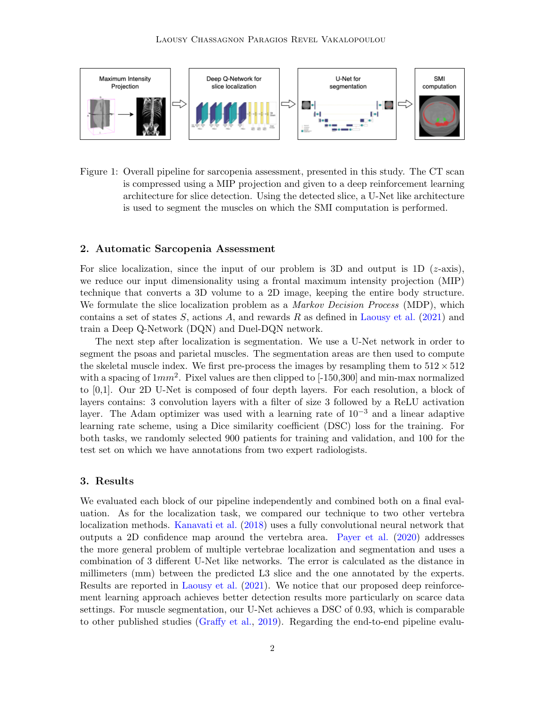

Figure 1: Overall pipeline for sarcopenia assessment, presented in this study. The CT scan is compressed using a MIP projection and given to a deep reinforcement learning architecture for slice detection. Using the detected slice, a U-Net like architecture is used to segment the muscles on which the SMI computation is performed.

#### 2. Automatic Sarcopenia Assessment

For slice localization, since the input of our problem is 3D and output is 1D  $(z\text{-axis})$ , we reduce our input dimensionality using a frontal maximum intensity projection (MIP) technique that converts a 3D volume to a 2D image, keeping the entire body structure. We formulate the slice localization problem as a *Markov Decision Process* (MDP), which contains a set of states  $S$ , actions  $A$ , and rewards  $R$  as defined in [Laousy et al.](#page-2-1) [\(2021\)](#page-2-1) and train a Deep Q-Network (DQN) and Duel-DQN network.

The next step after localization is segmentation. We use a U-Net network in order to segment the psoas and parietal muscles. The segmentation areas are then used to compute the skeletal muscle index. We first pre-process the images by resampling them to  $512 \times 512$ with a spacing of  $1mm^2$ . Pixel values are then clipped to  $[-150,300]$  and min-max normalized to [0,1]. Our 2D U-Net is composed of four depth layers. For each resolution, a block of layers contains: 3 convolution layers with a filter of size 3 followed by a ReLU activation layer. The Adam optimizer was used with a learning rate of  $10^{-3}$  and a linear adaptive learning rate scheme, using a Dice similarity coefficient (DSC) loss for the training. For both tasks, we randomly selected 900 patients for training and validation, and 100 for the test set on which we have annotations from two expert radiologists.

#### 3. Results

We evaluated each block of our pipeline independently and combined both on a final evaluation. As for the localization task, we compared our technique to two other vertebra localization methods. [Kanavati et al.](#page-2-2) [\(2018\)](#page-2-2) uses a fully convolutional neural network that outputs a 2D confidence map around the vertebra area. [Payer et al.](#page-2-3) [\(2020\)](#page-2-3) addresses the more general problem of multiple vertebrae localization and segmentation and uses a combination of 3 different U-Net like networks. The error is calculated as the distance in millimeters (mm) between the predicted L3 slice and the one annotated by the experts. Results are reported in [Laousy et al.](#page-2-1) [\(2021\)](#page-2-1). We notice that our proposed deep reinforcement learning approach achieves better detection results more particularly on scarce data settings. For muscle segmentation, our U-Net achieves a DSC of 0.93, which is comparable to other published studies [\(Graffy et al.,](#page-2-4) [2019\)](#page-2-4). Regarding the end-to-end pipeline evalu-